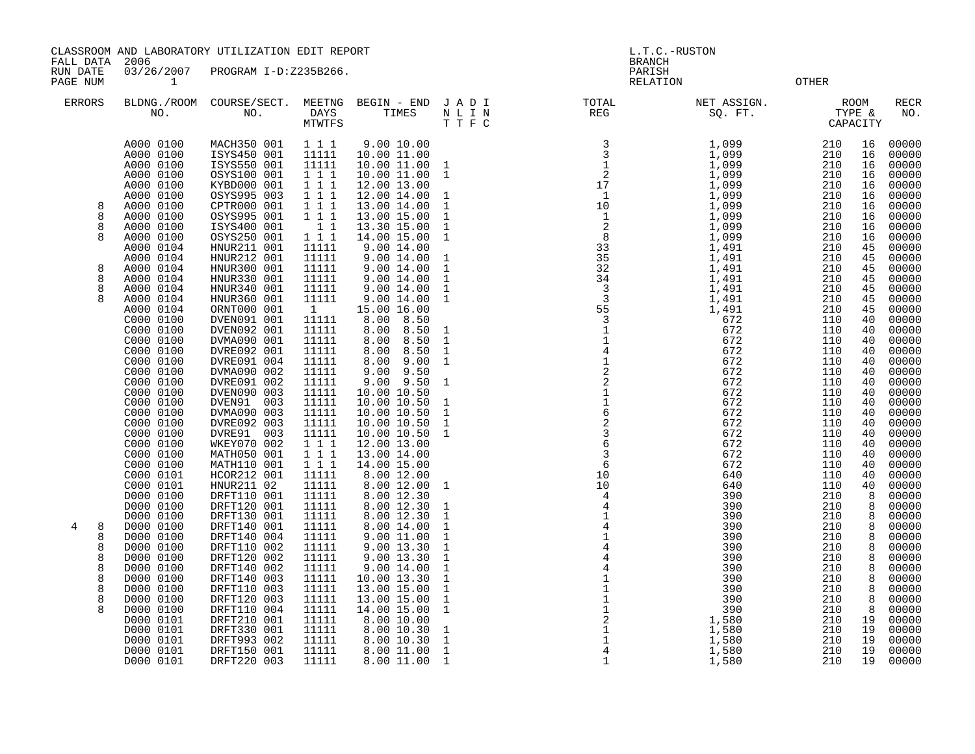CLASSROOM AND LABORATORY UTILIZATION EDIT REPORT AND MODEL ASSESSED AND L.T.C.-RUSTON

FALL DATA 2006 BRANCH

RUN DATE 03/26/2007 PROGRAM I-D:Z235B266.<br>PAGE NUM 1 PAGE NUM 1 RELATION OTHER

| <b>ERRORS</b>         | BLDNG./ROOM<br>NO.                                                                      | COURSE/SECT.<br>NO.                                                                                   | MEETNG<br>DAYS<br><b>MTWTFS</b>                                                                   | BEGIN - END<br>TIMES                                                                                                | J A D I<br>$\begin{array}{ccccc} \text{N} & \text{L} & \text{I} & \text{N} \\ \text{T} & \text{T} & \text{F} & \text{C} \end{array}$ | TOTAL<br>REG                                                                                                                                                                                                                   | NET ASSIGN.<br>SQ. FT.                                                           | TYPE &<br>CAPACITY                            | <b>ROOM</b>                            | RECR<br>NO.                                                 |
|-----------------------|-----------------------------------------------------------------------------------------|-------------------------------------------------------------------------------------------------------|---------------------------------------------------------------------------------------------------|---------------------------------------------------------------------------------------------------------------------|--------------------------------------------------------------------------------------------------------------------------------------|--------------------------------------------------------------------------------------------------------------------------------------------------------------------------------------------------------------------------------|----------------------------------------------------------------------------------|-----------------------------------------------|----------------------------------------|-------------------------------------------------------------|
| 8                     | A000 0100<br>A000 0100<br>A000 0100<br>A000 0100<br>A000 0100<br>A000 0100<br>A000 0100 | MACH350 001<br>ISYS450 001<br>ISYS550 001<br>OSYS100 001<br>KYBD000 001<br>OSYS995 003<br>CPTR000 001 | $1 1 1$<br>11111<br>11111<br>$1 1 1$<br>$\begin{array}{ccc} 1&1&1\\ 1&1&1 \end{array}$<br>$1 1 1$ | 9.00 10.00<br>10.00 11.00<br>10.00 11.00<br>10.00 11.00<br>12.00 13.00<br>12.00 14.00<br>13.00 14.00                | $\mathbf{1}$<br>$\mathbf{1}$<br>$\overline{1}$<br>$\mathbf{1}$                                                                       | And a set of the contract of the contract of the contract of the contract of the contract of the contract of the contract of the contract of the contract of the contract of the contract of the contract of the contract of t | 1,099<br>1,099<br>$\frac{1}{1}$ , 099<br>1, 099<br>$1,099$<br>$1,099$<br>$1,099$ | 210<br>210<br>210<br>210<br>210<br>210<br>210 | 16<br>16<br>16<br>16<br>16<br>16<br>16 | 00000<br>00000<br>00000<br>00000<br>00000<br>00000<br>00000 |
| 8<br>8<br>8           | A000 0100<br>A000 0100<br>A000 0100<br>A000 0104<br>A000 0104                           | OSYS995 001<br>ISYS400 001<br>OSYS250 001<br>HNUR211 001<br>HNUR212 001                               | 111<br>$\overline{1}$ $\overline{1}$<br>111<br>11111<br>11111                                     | 13.00 15.00<br>13.30 15.00<br>14.00 15.00<br>9.00 14.00<br>9.00 14.00                                               | $\mathbf{1}$<br>$\mathbf{1}$<br>$\mathbf{1}$<br>$\mathbf{1}$                                                                         |                                                                                                                                                                                                                                | $1,099$<br>$1,099$<br>1,099<br>1,491<br>1,491                                    | 210<br>210<br>210<br>210<br>210               | 16<br>16<br>16<br>45<br>45             | 00000<br>00000<br>00000<br>00000<br>00000                   |
| 8<br>8<br>8           | A000 0104<br>A000 0104<br>A000 0104<br>A000 0104<br>A000 0104<br>C000 0100              | HNUR300 001<br>HNUR330 001<br>HNUR340 001<br>HNUR360 001<br>ORNT000 001<br>DVEN091 001                | 11111<br>11111<br>11111<br>11111<br>1<br>11111                                                    | 9.00 14.00<br>9.00 14.00<br>9.00 14.00<br>9.00 14.00<br>15.00 16.00<br>8.00<br>8.50                                 | $\mathbf{1}$<br>$\mathbf{1}$<br>$\mathbf{1}$<br>$\mathbf{1}$                                                                         |                                                                                                                                                                                                                                | 1,491<br>1,491<br>$1,491$<br>$1,491$<br>$1,491$<br>672                           | 210<br>210<br>210<br>210<br>210<br>110        | 45<br>45<br>45<br>45<br>45<br>40       | 00000<br>00000<br>00000<br>00000<br>00000<br>00000          |
|                       | C000 0100<br>C000 0100<br>C000 0100<br>C000 0100<br>C000 0100<br>C000 0100              | DVEN092 001<br>DVMA090 001<br>DVRE092 001<br>DVRE091 004<br>DVMA090 002<br>DVRE091 002                | 11111<br>11111<br>11111<br>11111<br>11111<br>11111                                                | 8.00<br>8.50<br>8.00<br>8.50<br>8.00<br>8.50<br>8.00<br>9.00<br>9.00<br>9.50<br>$9.00$ $9.50$                       | $\mathbf{1}$<br>$\mathbf{1}$<br>$\mathbf{1}$<br>$\mathbf{1}$<br>$\mathbf{1}$                                                         |                                                                                                                                                                                                                                | 672<br>672<br>672<br>672<br>672<br>672                                           | 110<br>110<br>110<br>110<br>110<br>110        | 40<br>40<br>40<br>40<br>40<br>40       | 00000<br>00000<br>00000<br>00000<br>00000<br>00000          |
|                       | C000 0100<br>C000 0100<br>C000 0100<br>C000 0100<br>C000 0100<br>C000 0100              | DVEN090 003<br>DVEN91 003<br>DVMA090 003<br>DVRE092 003<br>DVRE91 003<br>WKEY070 002                  | 11111<br>11111<br>11111<br>11111<br>11111<br>$1 1 1$                                              | 10.00 10.50<br>10.00 10.50<br>10.00 10.50<br>10.00 10.50<br>10.00 10.50<br>12.00 13.00                              | 1<br>$\mathbf{1}$<br>$\mathbf{1}$<br>$\mathbf{1}$                                                                                    |                                                                                                                                                                                                                                | 672<br>672<br>672<br>672<br>672<br>672                                           | 110<br>110<br>110<br>110<br>110<br>110        | 40<br>40<br>40<br>40<br>40<br>40       | 00000<br>00000<br>00000<br>00000<br>00000<br>00000          |
|                       | C000 0100<br>C000 0100<br>C000 0101<br>C000 0101<br>D000 0100<br>D000 0100              | MATH050 001<br>MATH110 001<br>HCOR212 001<br>HNUR211 02<br>DRFT110 001<br>DRFT120 001                 | 111<br>$1 1 1$<br>11111<br>11111<br>11111<br>11111                                                | 13.00 14.00<br>14.00 15.00<br>8.00 12.00<br>8.00 12.00<br>8.00 12.30<br>8.00 12.30                                  | $\mathbf{1}$<br>$\mathbf{1}$                                                                                                         |                                                                                                                                                                                                                                | 672<br>672<br>640<br>640<br>390<br>390                                           | 110<br>110<br>110<br>110<br>210<br>210        | 40<br>40<br>40<br>40<br>8<br>8         | 00000<br>00000<br>00000<br>00000<br>00000<br>00000          |
| 4<br>8<br>8<br>8<br>8 | D000 0100<br>D000 0100<br>D000 0100<br>D000 0100<br>D000 0100                           | DRFT130 001<br>DRFT140 001<br>DRFT140 004<br>DRFT110 002<br>DRFT120 002                               | 11111<br>11111<br>11111<br>11111<br>11111                                                         | 8.00 12.30<br>$\begin{array}{c} 8.00 14.00 \\ 9.00 11.00 \end{array}$<br>9.00 13.30<br>$9.00$ 13.30<br>$9.00$ 14.00 | $\mathbf{1}$<br>$\mathbf{1}$<br>$\mathbf{1}$<br>$\mathbf{1}$<br>$\mathbf{1}$                                                         |                                                                                                                                                                                                                                | 390<br>390<br>390<br>390<br>390                                                  | 210<br>210<br>210<br>210<br>210               | 8<br>8<br>8<br>8<br>8                  | 00000<br>00000<br>00000<br>00000<br>00000                   |
| 8<br>8<br>8<br>8      | D000 0100<br>D000 0100<br>D000 0100<br>D000 0100<br>D000 0100<br>D000 0101              | DRFT140 002<br>DRFT140 003<br>DRFT110 003<br>DRFT120 003<br>DRFT110 004<br>DRFT210 001                | 11111<br>11111<br>11111<br>11111<br>11111<br>11111                                                | 10.00 13.30<br>13.00 15.00<br>13.00 15.00<br>14.00 15.00<br>8.00 10.00                                              | $\mathbf{1}$<br>$\mathbf{1}$<br>$\mathbf{1}$<br>$\mathbf{1}$<br>$\mathbf{1}$                                                         |                                                                                                                                                                                                                                | 390<br>390<br>390<br>390<br>390<br>1,580                                         | 210<br>210<br>210<br>210<br>210<br>210        | 8<br>8<br>8<br>8<br>8<br>19            | 00000<br>00000<br>00000<br>00000<br>00000<br>00000          |
|                       | D000 0101<br>D000 0101<br>D000 0101<br>D000 0101                                        | DRFT330 001<br>DRFT993 002<br>DRFT150 001<br>DRFT220 003                                              | 11111<br>11111<br>11111<br>11111                                                                  | 8.00 10.30<br>8.00 10.30<br>8.0011.00<br>8.00 11.00                                                                 | $\mathbf{1}$<br>$\mathbf{1}$<br>$\overline{1}$<br>$\overline{1}$                                                                     |                                                                                                                                                                                                                                | 1,580<br>1,580<br>1,580<br>1,580                                                 | 210<br>210<br>210<br>210                      | 19<br>19<br>19<br>19                   | 00000<br>00000<br>00000<br>00000                            |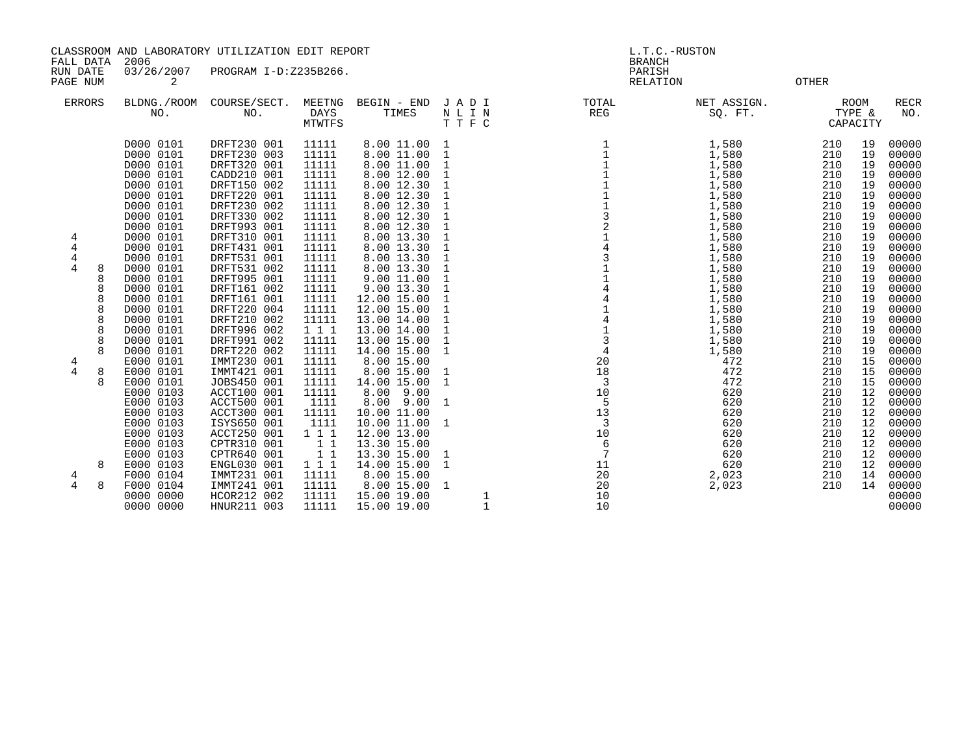CLASSROOM AND LABORATORY UTILIZATION EDIT REPORT AND REVORT SERVICES ON A L.T.C.-RUSTON

 FALL DATA 2006 BRANCH RUN DATE 03/26/2007 PROGRAM I-D:Z235B266. PARISH

PAGE NUM  $\qquad \qquad 2$  OTHER ERRORS BLDNG./ROOM COURSE/SECT. MEETNG BEGIN - END J A D I TOTAL NET ASSIGN. ROOM RECR NO. NO. DAYS TIMES N L I N REG SQ. FT. TYPE & NO. MTWTFS T T F C CAPACITY D000 0101 DRFT230 001 11111 8.00 11.00 1 1 1,580 210 19 00000 D000 0101 DRFT230 003 11111 8.00 11.00 1 1 1,580 210 19 00000 D000 0101 DRFT320 001 11111 8.00 11.00 1 1 1,580 210 19 00000 D000 0101 CADD210 001 11111 8.00 12.00 1 1 1,580 210 19 00000 D000 0101 DRFT150 002 11111 8.00 12.30 1 1 1,580 210 19 00000 D000 0101 DRFT220 001 11111 8.00 12.30 1 1 1,580 210 19 00000 D000 0101 DRFT230 002 11111 8.00 12.30 1 1 1,580 210 19 00000 D000 0101 DRFT330 002 11111 8.00 12.30 1 3 1,580 210 19 00000 D000 0101 DRFT993 001 11111 8.00 12.30 1 2 1,580 210 19 00000 4 D000 0101 DRFT310 001 11111 8.00 13.30 1 1 1,580 210 19 00000 4 D000 0101 DRFT431 001 11111 8.00 13.30 1 4 1,580 210 19 00000 4 D000 0101 DRFT531 001 11111 8.00 13.30 1 3 1,580 210 19 00000 4 8 D000 0101 DRFT531 002 11111 8.00 13.30 1 1 1,580 210 19 00000 8 D000 0101 DRFT995 001 11111 9.00 11.00 1 1 1,580 210 19 00000 8 D000 0101 DRFT161 002 11111 9.00 13.30 1 4 1,580 210 19 00000 8 D000 0101 DRFT161 001 11111 12.00 15.00 1 4 1,580 210 19 00000 8 D000 0101 DRFT220 004 11111 12.00 15.00 1 1 1,580 210 19 00000 8 D000 0101 DRFT210 002 11111 13.00 14.00 1 4 1,580 210 19 00000 8 D000 0101 DRFT996 002 1 1 1 13.00 14.00 1 1 1,580 210 19 00000 8 D000 0101 DRFT991 002 11111 13.00 15.00 1 3 1,580 210 19 00000 8 D000 0101 DRFT220 002 11111 14.00 15.00 1 4 1,580 210 19 00000 4 E000 0101 IMMT230 001 11111 8.00 15.00 20 472 210 15 00000

4 8 E000 0101 IMMT421 001 11111 8.00 15.00 1 18 472 210 15 00000 8 E000 0101 JOBS450 001 11111 14.00 15.00 1 3 472 210 15 00000 E000 0103 ACCT100 001 11111 8.00 9.00 10 620 210 12 00000 E000 0103 ACCT500 001 1111 8.00 9.00 1 5 620 210 12 00000 E000 0103 ACCT300 001 11111 10.00 11.00 13 620 210 12 00000 E000 0103 ISYS650 001 1111 10.00 11.00 1 3 620 210 12 00000 E000 0103 ACCT250 001 1 1 1 12.00 13.00 10 620 210 12 00000 E000 0103 CPTR310 001 1 1 13.30 15.00 6 620 210 12 00000 E000 0103 CPTR640 001 1 1 13.30 15.00 1 7 620 210 12 00000 8 E000 0103 ENGL030 001 1 1 1 14.00 15.00 1 11 620 210 12 00000 4 F000 0104 IMMT231 001 11111 8.00 15.00 20 2,023 210 14 00000 4 8 F000 0104 IMMT241 001 11111 8.00 15.00 1<br>0000 0000 HCOR212 002 11111 15.00 19.00 1 1 1 10 10 10 10 10 10 10 00000

0000 0000 HNUR211 003 11111 15.00 19.00 1 10 10 10 10 10 10 10 00000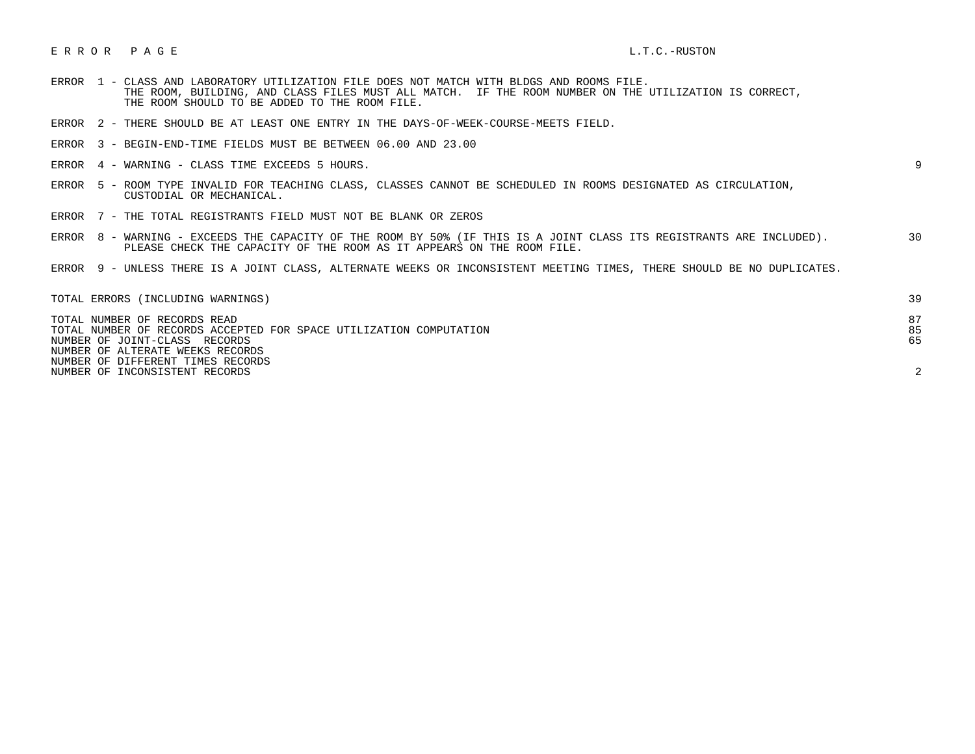## E R R O R P A G E L.T.C.-RUSTON

- ERROR 1 CLASS AND LABORATORY UTILIZATION FILE DOES NOT MATCH WITH BLDGS AND ROOMS FILE. THE ROOM, BUILDING, AND CLASS FILES MUST ALL MATCH. IF THE ROOM NUMBER ON THE UTILIZATION IS CORRECT, THE ROOM SHOULD TO BE ADDED TO THE ROOM FILE.
- ERROR 2 THERE SHOULD BE AT LEAST ONE ENTRY IN THE DAYS-OF-WEEK-COURSE-MEETS FIELD.
- ERROR 3 BEGIN-END-TIME FIELDS MUST BE BETWEEN 06.00 AND 23.00
- ERROR 4 WARNING CLASS TIME EXCEEDS 5 HOURS. 9

- ERROR 5 ROOM TYPE INVALID FOR TEACHING CLASS, CLASSES CANNOT BE SCHEDULED IN ROOMS DESIGNATED AS CIRCULATION, CUSTODIAL OR MECHANICAL.
- ERROR 7 THE TOTAL REGISTRANTS FIELD MUST NOT BE BLANK OR ZEROS
- ERROR 8 WARNING EXCEEDS THE CAPACITY OF THE ROOM BY 50% (IF THIS IS A JOINT CLASS ITS REGISTRANTS ARE INCLUDED). 30 PLEASE CHECK THE CAPACITY OF THE ROOM AS IT APPEARS ON THE ROOM FILE.
- ERROR 9 UNLESS THERE IS A JOINT CLASS, ALTERNATE WEEKS OR INCONSISTENT MEETING TIMES, THERE SHOULD BE NO DUPLICATES.

| TOTAL ERRORS (INCLUDING WARNINGS)                                                                                                   | 39             |
|-------------------------------------------------------------------------------------------------------------------------------------|----------------|
| TOTAL NUMBER OF RECORDS READ<br>TOTAL NUMBER OF RECORDS ACCEPTED FOR SPACE UTILIZATION COMPUTATION<br>NUMBER OF JOINT-CLASS RECORDS | 87<br>85<br>65 |
| NUMBER OF ALTERATE WEEKS RECORDS                                                                                                    |                |
| NUMBER OF DIFFERENT TIMES RECORDS                                                                                                   |                |
| NUMBER OF INCONSISTENT RECORDS                                                                                                      | $\sim$         |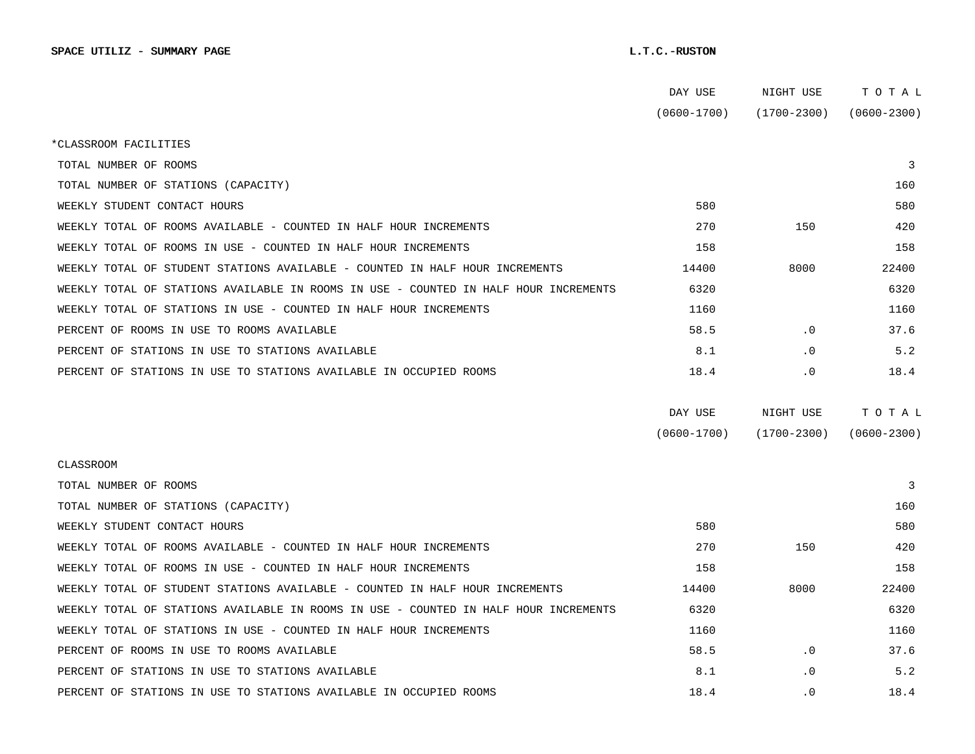|                                                                                      | DAY USE         | NIGHT USE       | тотаь           |  |
|--------------------------------------------------------------------------------------|-----------------|-----------------|-----------------|--|
|                                                                                      | $(0600 - 1700)$ | (1700-2300)     | $(0600 - 2300)$ |  |
| *CLASSROOM FACILITIES                                                                |                 |                 |                 |  |
| TOTAL NUMBER OF ROOMS                                                                |                 |                 | 3               |  |
| TOTAL NUMBER OF STATIONS (CAPACITY)                                                  |                 |                 | 160             |  |
| WEEKLY STUDENT CONTACT HOURS                                                         | 580             |                 | 580             |  |
| WEEKLY TOTAL OF ROOMS AVAILABLE - COUNTED IN HALF HOUR INCREMENTS                    | 270             | 150             | 420             |  |
| WEEKLY TOTAL OF ROOMS IN USE - COUNTED IN HALF HOUR INCREMENTS                       | 158             |                 | 158             |  |
| WEEKLY TOTAL OF STUDENT STATIONS AVAILABLE - COUNTED IN HALF HOUR INCREMENTS         | 14400           | 8000            | 22400           |  |
| WEEKLY TOTAL OF STATIONS AVAILABLE IN ROOMS IN USE - COUNTED IN HALF HOUR INCREMENTS | 6320            |                 | 6320            |  |
| WEEKLY TOTAL OF STATIONS IN USE - COUNTED IN HALF HOUR INCREMENTS                    | 1160            |                 | 1160            |  |
| PERCENT OF ROOMS IN USE TO ROOMS AVAILABLE                                           | 58.5            | $\cdot$ 0       | 37.6            |  |
| PERCENT OF STATIONS IN USE TO STATIONS AVAILABLE                                     | 8.1             | $\cdot$ 0       | 5.2             |  |
| PERCENT OF STATIONS IN USE TO STATIONS AVAILABLE IN OCCUPIED ROOMS                   | 18.4            | $\cdot$ 0       | 18.4            |  |
|                                                                                      |                 |                 |                 |  |
|                                                                                      | DAY USE         | NIGHT USE       | TOTAL           |  |
|                                                                                      | $(0600 - 1700)$ | $(1700 - 2300)$ | $(0600 - 2300)$ |  |
| <b>CLASSROOM</b>                                                                     |                 |                 |                 |  |
| TOTAL NUMBER OF ROOMS                                                                |                 |                 | 3               |  |
| TOTAL NUMBER OF STATIONS (CAPACITY)                                                  |                 |                 | 160             |  |
| WEEKLY STUDENT CONTACT HOURS                                                         | 580             |                 | 580             |  |
| WEEKLY TOTAL OF ROOMS AVAILABLE - COUNTED IN HALF HOUR INCREMENTS                    | 270             | 150             | 420             |  |
| WEEKLY TOTAL OF ROOMS IN USE - COUNTED IN HALF HOUR INCREMENTS                       | 158             |                 | 158             |  |
| WEEKLY TOTAL OF STUDENT STATIONS AVAILABLE - COUNTED IN HALF HOUR INCREMENTS         | 14400           | 8000            | 22400           |  |
| WEEKLY TOTAL OF STATIONS AVAILABLE IN ROOMS IN USE - COUNTED IN HALF HOUR INCREMENTS | 6320            |                 | 6320            |  |
| WEEKLY TOTAL OF STATIONS IN USE - COUNTED IN HALF HOUR INCREMENTS                    | 1160            |                 | 1160            |  |
| PERCENT OF ROOMS IN USE TO ROOMS AVAILABLE                                           | 58.5            | $\cdot$ 0       | 37.6            |  |
| PERCENT OF STATIONS IN USE TO STATIONS AVAILABLE                                     | 8.1             | $\cdot$ 0       | 5.2             |  |
| PERCENT OF STATIONS IN USE TO STATIONS AVAILABLE IN OCCUPIED ROOMS                   | 18.4            | . 0             | 18.4            |  |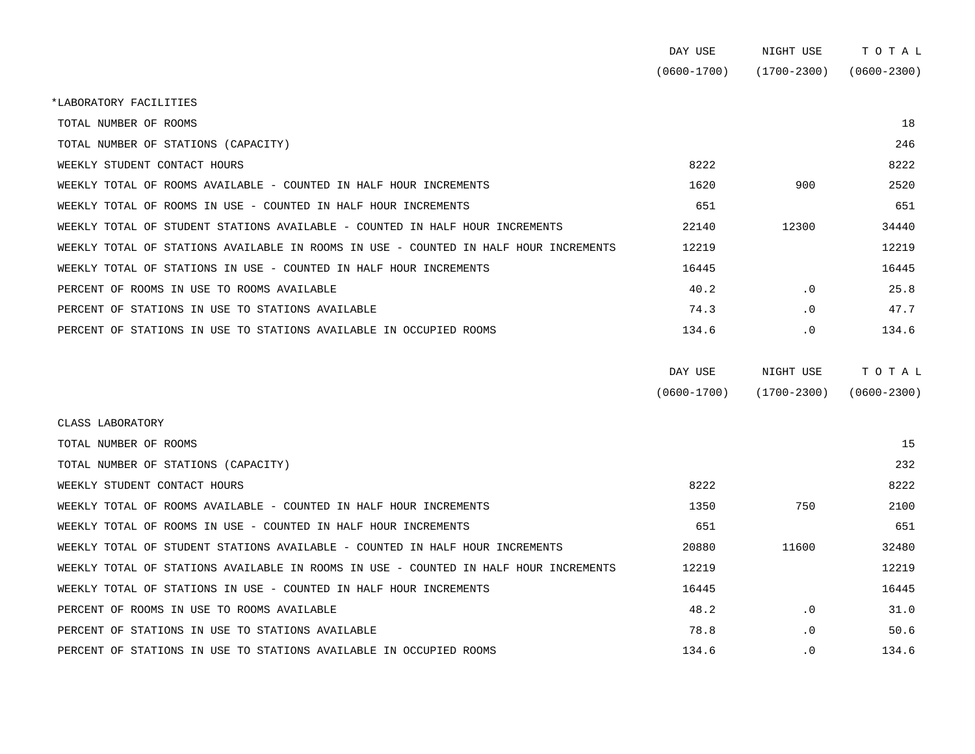|                                                                                      | DAY USE         | NIGHT USE       | TOTAL           |
|--------------------------------------------------------------------------------------|-----------------|-----------------|-----------------|
|                                                                                      | $(0600 - 1700)$ | $(1700 - 2300)$ | $(0600 - 2300)$ |
| *LABORATORY FACILITIES                                                               |                 |                 |                 |
| TOTAL NUMBER OF ROOMS                                                                |                 |                 | 18              |
| TOTAL NUMBER OF STATIONS (CAPACITY)                                                  |                 |                 | 246             |
| WEEKLY STUDENT CONTACT HOURS                                                         | 8222            |                 | 8222            |
| WEEKLY TOTAL OF ROOMS AVAILABLE - COUNTED IN HALF HOUR INCREMENTS                    | 1620            | 900             | 2520            |
| WEEKLY TOTAL OF ROOMS IN USE - COUNTED IN HALF HOUR INCREMENTS                       | 651             |                 | 651             |
| WEEKLY TOTAL OF STUDENT STATIONS AVAILABLE - COUNTED IN HALF HOUR INCREMENTS         | 22140           | 12300           | 34440           |
| WEEKLY TOTAL OF STATIONS AVAILABLE IN ROOMS IN USE - COUNTED IN HALF HOUR INCREMENTS | 12219           |                 | 12219           |
| WEEKLY TOTAL OF STATIONS IN USE - COUNTED IN HALF HOUR INCREMENTS                    | 16445           |                 | 16445           |
| PERCENT OF ROOMS IN USE TO ROOMS AVAILABLE                                           | 40.2            | $\cdot$ 0       | 25.8            |
| PERCENT OF STATIONS IN USE TO STATIONS AVAILABLE                                     | 74.3            | $\cdot$ 0       | 47.7            |
| PERCENT OF STATIONS IN USE TO STATIONS AVAILABLE IN OCCUPIED ROOMS                   | 134.6           | .0              | 134.6           |
|                                                                                      |                 |                 |                 |

| DAY USE         | NIGHT USE       | тотаь           |
|-----------------|-----------------|-----------------|
| $(0600 - 1700)$ | $(1700 - 2300)$ | $(0600 - 2300)$ |

| CLASS LABORATORY                                                   |                                                                                      |       |           |       |
|--------------------------------------------------------------------|--------------------------------------------------------------------------------------|-------|-----------|-------|
| TOTAL NUMBER OF ROOMS                                              |                                                                                      |       |           | 15    |
| TOTAL NUMBER OF STATIONS (CAPACITY)                                |                                                                                      |       |           | 232   |
| WEEKLY STUDENT CONTACT HOURS                                       |                                                                                      | 8222  |           | 8222  |
| WEEKLY TOTAL OF ROOMS AVAILABLE - COUNTED IN HALF HOUR INCREMENTS  |                                                                                      | 1350  | 750       | 2100  |
| WEEKLY TOTAL OF ROOMS IN USE - COUNTED IN HALF HOUR INCREMENTS     |                                                                                      | 651   |           | 651   |
|                                                                    | WEEKLY TOTAL OF STUDENT STATIONS AVAILABLE - COUNTED IN HALF HOUR INCREMENTS         | 20880 | 11600     | 32480 |
|                                                                    | WEEKLY TOTAL OF STATIONS AVAILABLE IN ROOMS IN USE - COUNTED IN HALF HOUR INCREMENTS | 12219 |           | 12219 |
| WEEKLY TOTAL OF STATIONS IN USE - COUNTED IN HALF HOUR INCREMENTS  |                                                                                      | 16445 |           | 16445 |
| PERCENT OF ROOMS IN USE TO ROOMS AVAILABLE                         |                                                                                      | 48.2  | $\cdot$ 0 | 31.0  |
| PERCENT OF STATIONS IN USE TO STATIONS AVAILABLE                   |                                                                                      | 78.8  | $\cdot$ 0 | 50.6  |
| PERCENT OF STATIONS IN USE TO STATIONS AVAILABLE IN OCCUPIED ROOMS |                                                                                      | 134.6 | $\cdot$ 0 | 134.6 |